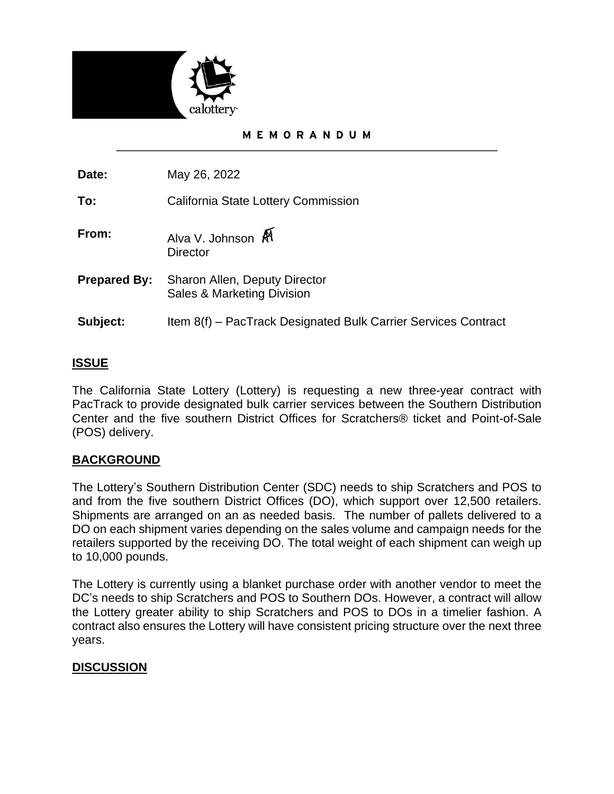

### MEMORANDUM

**Date:** May 26, 2022

**To:** California State Lottery Commission

- **From:** Alva V. Johnson  $\overline{M}$ **Director**
- **Prepared By:** Sharon Allen, Deputy Director Sales & Marketing Division
- **Subject:** Item 8(f) PacTrack Designated Bulk Carrier Services Contract

# **ISSUE**

The California State Lottery (Lottery) is requesting a new three-year contract with PacTrack to provide designated bulk carrier services between the Southern Distribution Center and the five southern District Offices for Scratchers® ticket and Point-of-Sale (POS) delivery.

## **BACKGROUND**

The Lottery's Southern Distribution Center (SDC) needs to ship Scratchers and POS to and from the five southern District Offices (DO), which support over 12,500 retailers. Shipments are arranged on an as needed basis. The number of pallets delivered to a DO on each shipment varies depending on the sales volume and campaign needs for the retailers supported by the receiving DO. The total weight of each shipment can weigh up to 10,000 pounds.

The Lottery is currently using a blanket purchase order with another vendor to meet the DC's needs to ship Scratchers and POS to Southern DOs. However, a contract will allow the Lottery greater ability to ship Scratchers and POS to DOs in a timelier fashion. A contract also ensures the Lottery will have consistent pricing structure over the next three years.

# **DISCUSSION**